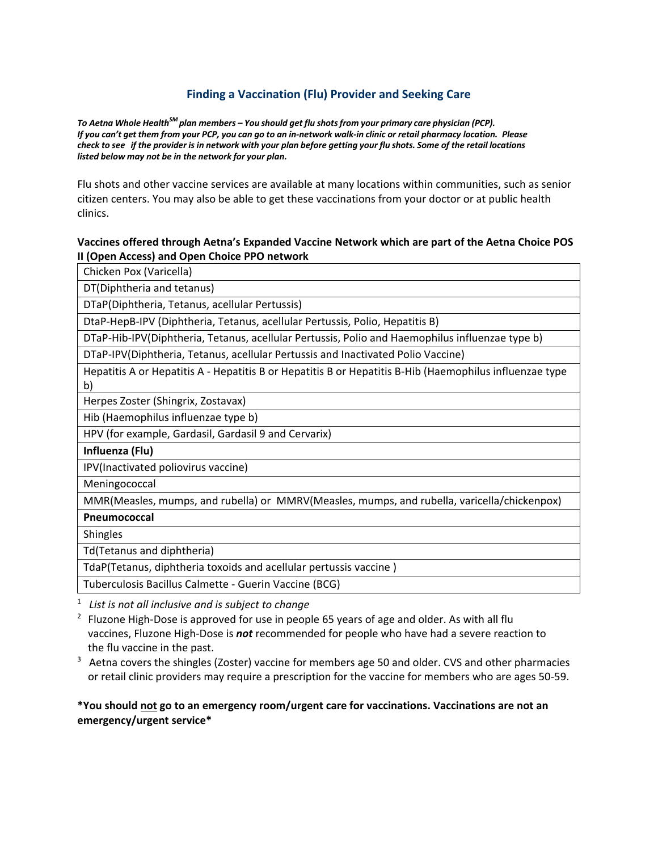# **Finding a Vaccination (Flu) Provider and Seeking Care**

*To Aetna Whole HealthSM plan members – You should get flu shots from your primary care physician (PCP). If you can't get them from your PCP, you can go to an in-network walk-in clinic or retail pharmacy location. Please check to see if the provider is in network with your plan before getting your flu shots. Some of the retail locations listed below may not be in the network for your plan.*

 citizen centers. You may also be able to get these vaccinations from your doctor or at public health Flu shots and other vaccine services are available at many locations within communities, such as senior clinics.

### **Vaccines offered through Aetna's Expanded Vaccine Network which are part of the Aetna Choice POS II (Open Access) and Open Choice PPO network**

Chicken Pox (Varicella)

DT(Diphtheria and tetanus)

DTaP(Diphtheria, Tetanus, acellular Pertussis)

DtaP-HepB-IPV (Diphtheria, Tetanus, acellular Pertussis, Polio, Hepatitis B)

DTaP-Hib-IPV(Diphtheria, Tetanus, acellular Pertussis, Polio and Haemophilus influenzae type b)

DTaP-IPV(Diphtheria, Tetanus, acellular Pertussis and Inactivated Polio Vaccine)

Hepatitis A or Hepatitis A - Hepatitis B or Hepatitis B or Hepatitis B-Hib (Haemophilus influenzae type b)

Herpes Zoster (Shingrix, Zostavax)

Hib (Haemophilus influenzae type b)

HPV (for example, Gardasil, Gardasil 9 and Cervarix)

**Influenza (Flu)** 

IPV(Inactivated poliovirus vaccine)

Meningococcal

MMR(Measles, mumps, and rubella) or MMRV(Measles, mumps, and rubella, varicella/chickenpox)

**Pneumococcal** 

Shingles

Td(Tetanus and diphtheria)

TdaP(Tetanus, diphtheria toxoids and acellular pertussis vaccine )

Tuberculosis Bacillus Calmette - Guerin Vaccine (BCG)

<sup>1</sup> *List is not all inclusive and is subject to change* 

- $2$  Fluzone High-Dose is approved for use in people 65 years of age and older. As with all flu vaccines, Fluzone High-Dose is *not* recommended for people who have had a severe reaction to the flu vaccine in the past.
- <sup>3</sup> Aetna covers the shingles (Zoster) vaccine for members age 50 and older. CVS and other pharmacies or retail clinic providers may require a prescription for the vaccine for members who are ages 50-59.

## **\*You should not go to an emergency room/urgent care for vaccinations. Vaccinations are not an emergency/urgent service\***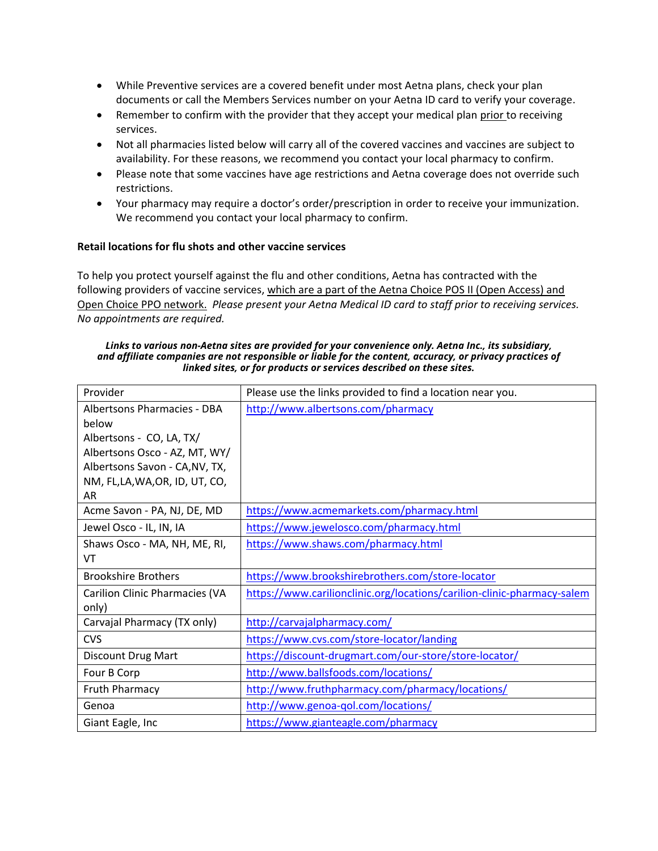- While Preventive services are a covered benefit under most Aetna plans, check your plan documents or call the Members Services number on your Aetna ID card to verify your coverage.
- Remember to confirm with the provider that they accept your medical plan prior to receiving services.
- Not all pharmacies listed below will carry all of the covered vaccines and vaccines are subject to availability. For these reasons, we recommend you contact your local pharmacy to confirm.
- Please note that some vaccines have age restrictions and Aetna coverage does not override such restrictions.
- Your pharmacy may require a doctor's order/prescription in order to receive your immunization. We recommend you contact your local pharmacy to confirm.

## **Retail locations for flu shots and other vaccine services**

To help you protect yourself against the flu and other conditions, Aetna has contracted with the following providers of vaccine services, which are a part of the Aetna Choice POS II (Open Access) and Open Choice PPO network. *Please present your Aetna Medical ID card to staff prior to receiving services. No appointments are required.* 

#### *Links to various non-Aetna sites are provided for your convenience only. Aetna Inc., its subsidiary, and affiliate companies are not responsible or liable for the content, accuracy, or privacy practices of linked sites, or for products or services described on these sites.*

| Provider                              | Please use the links provided to find a location near you.              |
|---------------------------------------|-------------------------------------------------------------------------|
| Albertsons Pharmacies - DBA           | http://www.albertsons.com/pharmacy                                      |
| below                                 |                                                                         |
| Albertsons - CO, LA, TX/              |                                                                         |
| Albertsons Osco - AZ, MT, WY/         |                                                                         |
| Albertsons Savon - CA, NV, TX,        |                                                                         |
| NM, FL,LA,WA,OR, ID, UT, CO,          |                                                                         |
| AR                                    |                                                                         |
| Acme Savon - PA, NJ, DE, MD           | https://www.acmemarkets.com/pharmacy.html                               |
| Jewel Osco - IL, IN, IA               | https://www.jewelosco.com/pharmacy.html                                 |
| Shaws Osco - MA, NH, ME, RI,          | https://www.shaws.com/pharmacy.html                                     |
| VT                                    |                                                                         |
| <b>Brookshire Brothers</b>            | https://www.brookshirebrothers.com/store-locator                        |
| <b>Carilion Clinic Pharmacies (VA</b> | https://www.carilionclinic.org/locations/carilion-clinic-pharmacy-salem |
| only)                                 |                                                                         |
| Carvajal Pharmacy (TX only)           | http://carvajalpharmacy.com/                                            |
| <b>CVS</b>                            | https://www.cvs.com/store-locator/landing                               |
| <b>Discount Drug Mart</b>             | https://discount-drugmart.com/our-store/store-locator/                  |
| Four B Corp                           | http://www.ballsfoods.com/locations/                                    |
| <b>Fruth Pharmacy</b>                 | http://www.fruthpharmacy.com/pharmacy/locations/                        |
| Genoa                                 | http://www.genoa-qol.com/locations/                                     |
| Giant Eagle, Inc                      | https://www.gianteagle.com/pharmacy                                     |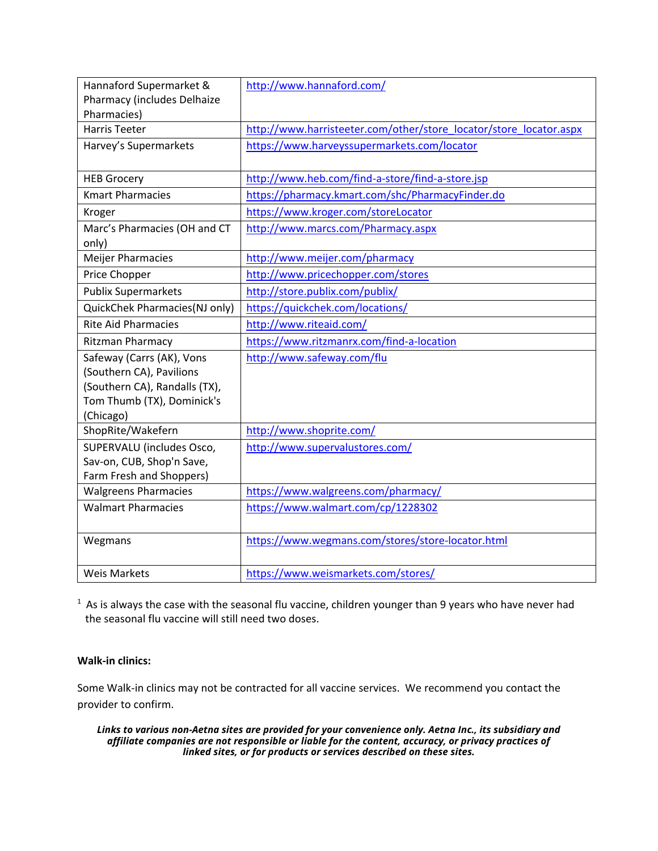| Hannaford Supermarket &       | http://www.hannaford.com/                                          |
|-------------------------------|--------------------------------------------------------------------|
| Pharmacy (includes Delhaize   |                                                                    |
| Pharmacies)                   |                                                                    |
| <b>Harris Teeter</b>          | http://www.harristeeter.com/other/store_locator/store_locator.aspx |
| Harvey's Supermarkets         | https://www.harveyssupermarkets.com/locator                        |
|                               |                                                                    |
| <b>HEB Grocery</b>            | http://www.heb.com/find-a-store/find-a-store.jsp                   |
| <b>Kmart Pharmacies</b>       | https://pharmacy.kmart.com/shc/PharmacyFinder.do                   |
| Kroger                        | https://www.kroger.com/storeLocator                                |
| Marc's Pharmacies (OH and CT  | http://www.marcs.com/Pharmacy.aspx                                 |
| only)                         |                                                                    |
| <b>Meijer Pharmacies</b>      | http://www.meijer.com/pharmacy                                     |
| Price Chopper                 | http://www.pricechopper.com/stores                                 |
| <b>Publix Supermarkets</b>    | http://store.publix.com/publix/                                    |
| QuickChek Pharmacies(NJ only) | https://quickchek.com/locations/                                   |
| <b>Rite Aid Pharmacies</b>    | http://www.riteaid.com/                                            |
| Ritzman Pharmacy              | https://www.ritzmanrx.com/find-a-location                          |
| Safeway (Carrs (AK), Vons     | http://www.safeway.com/flu                                         |
| (Southern CA), Pavilions      |                                                                    |
| (Southern CA), Randalls (TX), |                                                                    |
| Tom Thumb (TX), Dominick's    |                                                                    |
| (Chicago)                     |                                                                    |
| ShopRite/Wakefern             | http://www.shoprite.com/                                           |
| SUPERVALU (includes Osco,     | http://www.supervalustores.com/                                    |
| Sav-on, CUB, Shop'n Save,     |                                                                    |
| Farm Fresh and Shoppers)      |                                                                    |
| <b>Walgreens Pharmacies</b>   | https://www.walgreens.com/pharmacy/                                |
| <b>Walmart Pharmacies</b>     | https://www.walmart.com/cp/1228302                                 |
|                               |                                                                    |
| Wegmans                       | https://www.wegmans.com/stores/store-locator.html                  |
|                               |                                                                    |
| <b>Weis Markets</b>           | https://www.weismarkets.com/stores/                                |

 $1$  As is always the case with the seasonal flu vaccine, children younger than 9 years who have never had the seasonal flu vaccine will still need two doses.

# **Walk-in clinics:**

Some Walk-in clinics may not be contracted for all vaccine services. We recommend you contact the provider to confirm.

*Links to various non-Aetna sites are provided for your convenience only. Aetna Inc., its subsidiary and affiliate companies are not responsible or liable for the content, accuracy, or privacy practices of linked sites, or for products or services described on these sites.*